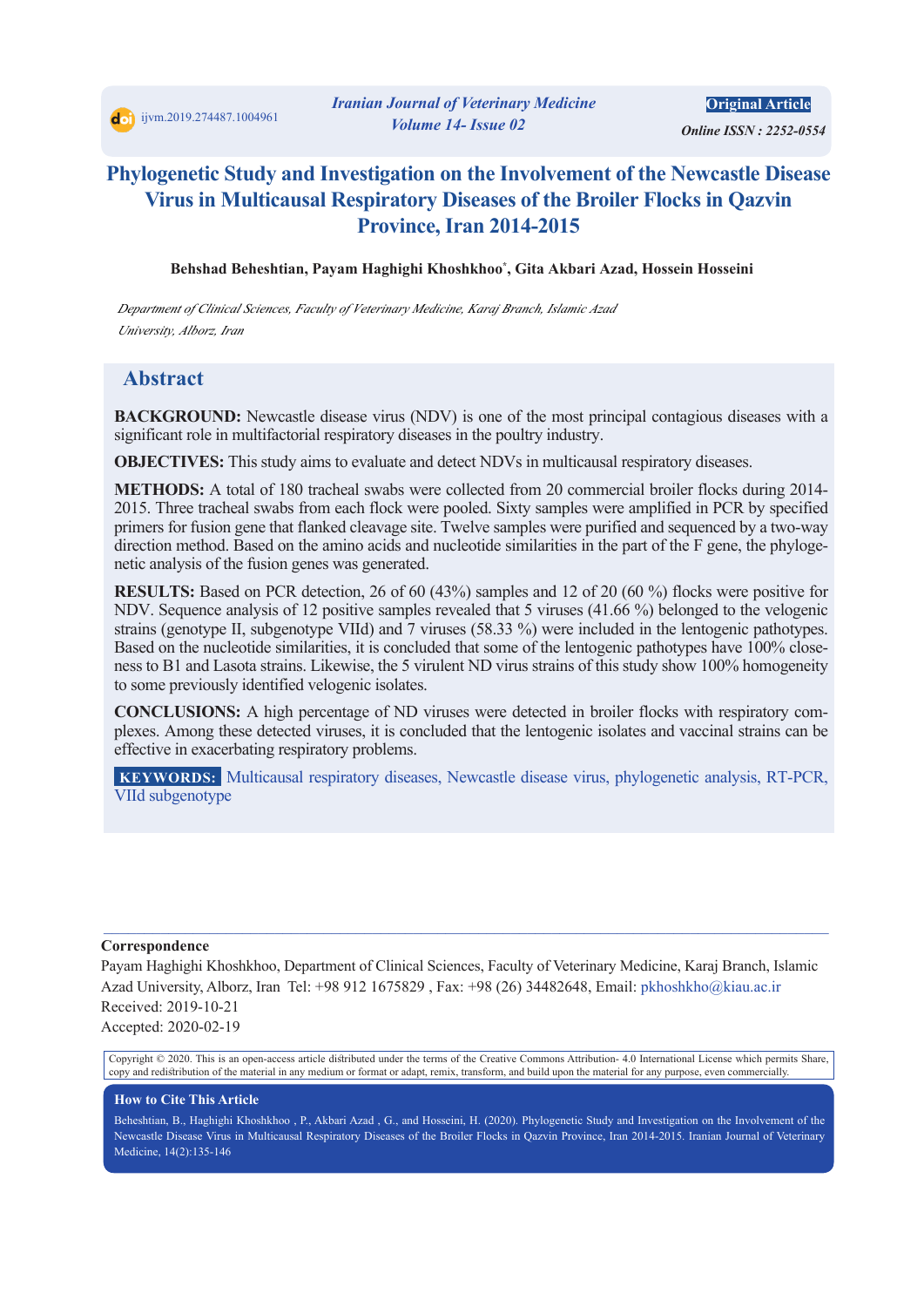*Online ISSN : 2252-0554* 

# **Phylogenetic Study and Investigation on the Involvement of the Newcastle Disease Virus in Multicausal Respiratory Diseases of the Broiler Flocks in Qazvin Province, Iran 2014-2015**

**Behshad Beheshtian, Payam Haghighi Khoshkhoo\* , Gita Akbari Azad, Hossein Hosseini** 

*Department of Clinical Sciences, Faculty of Veterinary Medicine, Karaj Branch, Islamic Azad University, Alborz, Iran*

### **Abstract**

**BACKGROUND:** Newcastle disease virus (NDV) is one of the most principal contagious diseases with a significant role in multifactorial respiratory diseases in the poultry industry.

**OBJECTIVES:** This study aims to evaluate and detect NDVs in multicausal respiratory diseases.

**METHODS:** A total of 180 tracheal swabs were collected from 20 commercial broiler flocks during 2014-2015. Three tracheal swabs from each flock were pooled. Sixty samples were amplified in PCR by specified primers for fusion gene that flanked cleavage site. Twelve samples were purified and sequenced by a two-way direction method. Based on the amino acids and nucleotide similarities in the part of the F gene, the phylogenetic analysis of the fusion genes was generated.

**RESULTS:** Based on PCR detection, 26 of 60 (43%) samples and 12 of 20 (60 %) flocks were positive for NDV. Sequence analysis of 12 positive samples revealed that 5 viruses (41.66 %) belonged to the velogenic strains (genotype II, subgenotype VIId) and 7 viruses (58.33 %) were included in the lentogenic pathotypes. Based on the nucleotide similarities, it is concluded that some of the lentogenic pathotypes have 100% closeness to B1 and Lasota strains. Likewise, the 5 virulent ND virus strains of this study show 100% homogeneity to some previously identified velogenic isolates.

**CONCLUSIONS:** A high percentage of ND viruses were detected in broiler flocks with respiratory complexes. Among these detected viruses, it is concluded that the lentogenic isolates and vaccinal strains can be effective in exacerbating respiratory problems.

 **KEYWORDS:** Multicausal respiratory diseases, Newcastle disease virus, phylogenetic analysis, RT-PCR, VIId subgenotype

#### **Correspondence**

Payam Haghighi Khoshkhoo, Department of Clinical Sciences, Faculty of Veterinary Medicine, Karaj Branch, Islamic Azad University, Alborz, Iran Tel: +98 912 1675829 , Fax: +98 (26) 34482648, Email: pkhoshkho@kiau.ac.ir Received: 2019-10-21

 $\mathcal{L}_\mathcal{L} = \mathcal{L}_\mathcal{L} = \mathcal{L}_\mathcal{L} = \mathcal{L}_\mathcal{L} = \mathcal{L}_\mathcal{L} = \mathcal{L}_\mathcal{L} = \mathcal{L}_\mathcal{L} = \mathcal{L}_\mathcal{L} = \mathcal{L}_\mathcal{L} = \mathcal{L}_\mathcal{L} = \mathcal{L}_\mathcal{L} = \mathcal{L}_\mathcal{L} = \mathcal{L}_\mathcal{L} = \mathcal{L}_\mathcal{L} = \mathcal{L}_\mathcal{L} = \mathcal{L}_\mathcal{L} = \mathcal{L}_\mathcal{L}$ 

Accepted: 2020-02-19

Copyright © 2020. This is an open-access article distributed under the terms of the Creative Commons Attribution- 4.0 International License which permits Share, copy and redistribution of the material in any medium or format or adapt, remix, transform, and build upon the material for any purpose, even commercially.

#### **How to Cite This Article**

Beheshtian, B., Haghighi Khoshkhoo , P., Akbari Azad , G., and Hosseini, H. (2020). Phylogenetic Study and Investigation on the Involvement of the Newcastle Disease Virus in Multicausal Respiratory Diseases of the Broiler Flocks in Qazvin Province, Iran 2014-2015. Iranian Journal of Veterinary Medicine, 14(2):135-146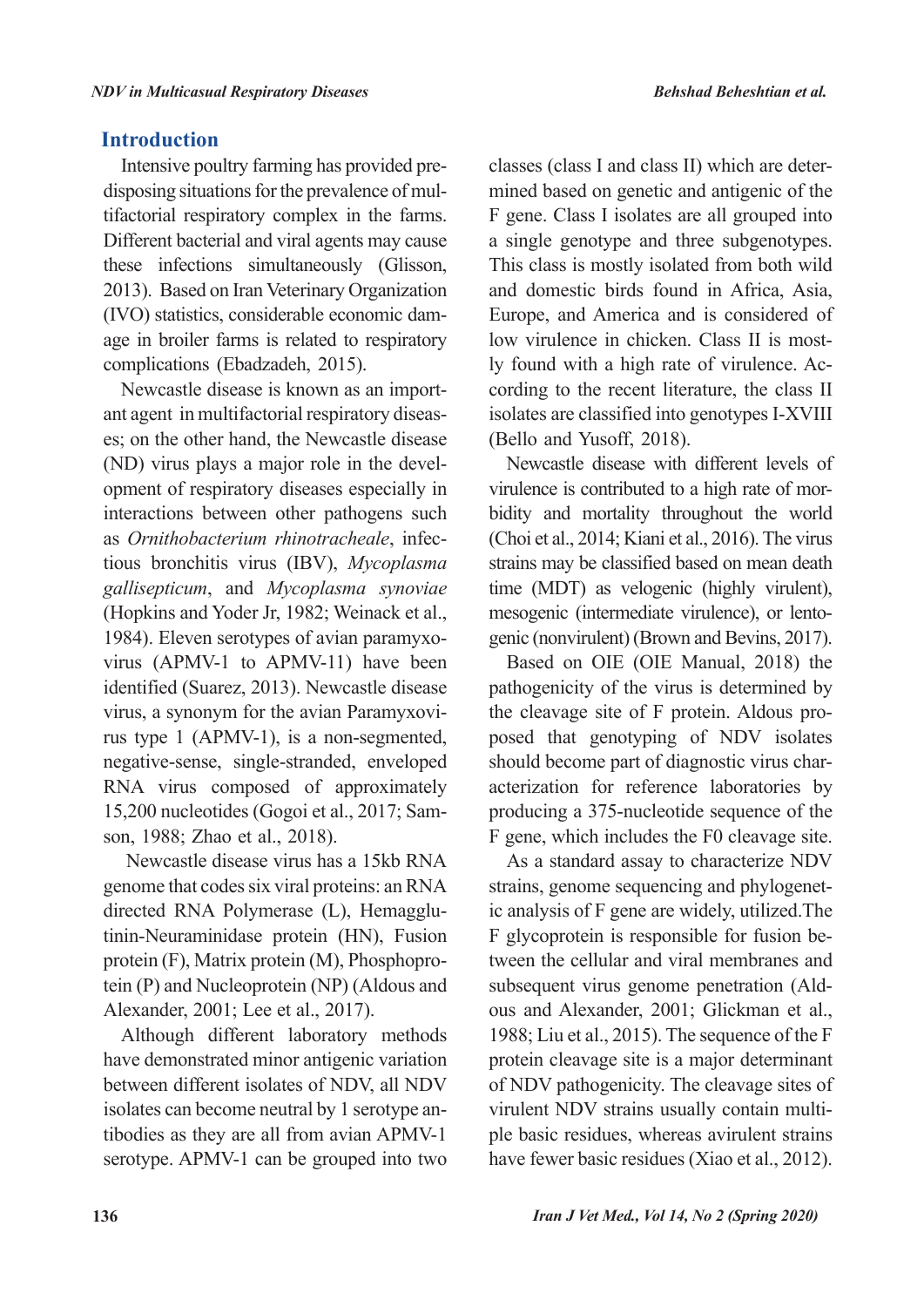## **Introduction**

Intensive poultry farming has provided predisposing situations for the prevalence of multifactorial respiratory complex in the farms. Different bacterial and viral agents may cause these infections simultaneously (Glisson, 2013). Based on Iran Veterinary Organization (IVO) statistics, considerable economic damage in broiler farms is related to respiratory complications (Ebadzadeh, 2015).

Newcastle disease is known as an important agent in multifactorial respiratory diseases; on the other hand, the Newcastle disease (ND) virus plays a major role in the development of respiratory diseases especially in interactions between other pathogens such as *Ornithobacterium rhinotracheale*, infectious bronchitis virus (IBV), *Mycoplasma gallisepticum*, and *Mycoplasma synoviae*  (Hopkins and Yoder Jr, 1982; Weinack et al., 1984). Eleven serotypes of avian paramyxovirus (APMV-1 to APMV-11) have been identified (Suarez, 2013). Newcastle disease virus, a synonym for the avian Paramyxovirus type 1 (APMV-1), is a non-segmented, negative-sense, single-stranded, enveloped RNA virus composed of approximately 15,200 nucleotides (Gogoi et al., 2017; Samson, 1988; Zhao et al., 2018).

 Newcastle disease virus has a 15kb RNA genome that codes six viral proteins: an RNA directed RNA Polymerase (L), Hemagglutinin-Neuraminidase protein (HN), Fusion protein (F), Matrix protein (M), Phosphoprotein (P) and Nucleoprotein (NP) (Aldous and Alexander, 2001; Lee et al., 2017).

Although different laboratory methods have demonstrated minor antigenic variation between different isolates of NDV, all NDV isolates can become neutral by 1 serotype antibodies as they are all from avian APMV-1 serotype. APMV-1 can be grouped into two

classes (class I and class II) which are determined based on genetic and antigenic of the F gene. Class I isolates are all grouped into a single genotype and three subgenotypes. This class is mostly isolated from both wild and domestic birds found in Africa, Asia, Europe, and America and is considered of low virulence in chicken. Class II is mostly found with a high rate of virulence. According to the recent literature, the class II isolates are classified into genotypes I-XVIII (Bello and Yusoff, 2018).

Newcastle disease with different levels of virulence is contributed to a high rate of morbidity and mortality throughout the world (Choi et al., 2014; Kiani et al., 2016). The virus strains may be classified based on mean death time (MDT) as velogenic (highly virulent), mesogenic (intermediate virulence), or lentogenic (nonvirulent) (Brown and Bevins, 2017).

Based on OIE (OIE Manual, 2018) the pathogenicity of the virus is determined by the cleavage site of F protein. Aldous proposed that genotyping of NDV isolates should become part of diagnostic virus characterization for reference laboratories by producing a 375-nucleotide sequence of the F gene, which includes the F0 cleavage site.

As a standard assay to characterize NDV strains, genome sequencing and phylogenetic analysis of F gene are widely, utilized.The F glycoprotein is responsible for fusion between the cellular and viral membranes and subsequent virus genome penetration (Aldous and Alexander, 2001; Glickman et al., 1988; Liu et al., 2015). The sequence of the F protein cleavage site is a major determinant of NDV pathogenicity. The cleavage sites of virulent NDV strains usually contain multiple basic residues, whereas avirulent strains have fewer basic residues (Xiao et al., 2012).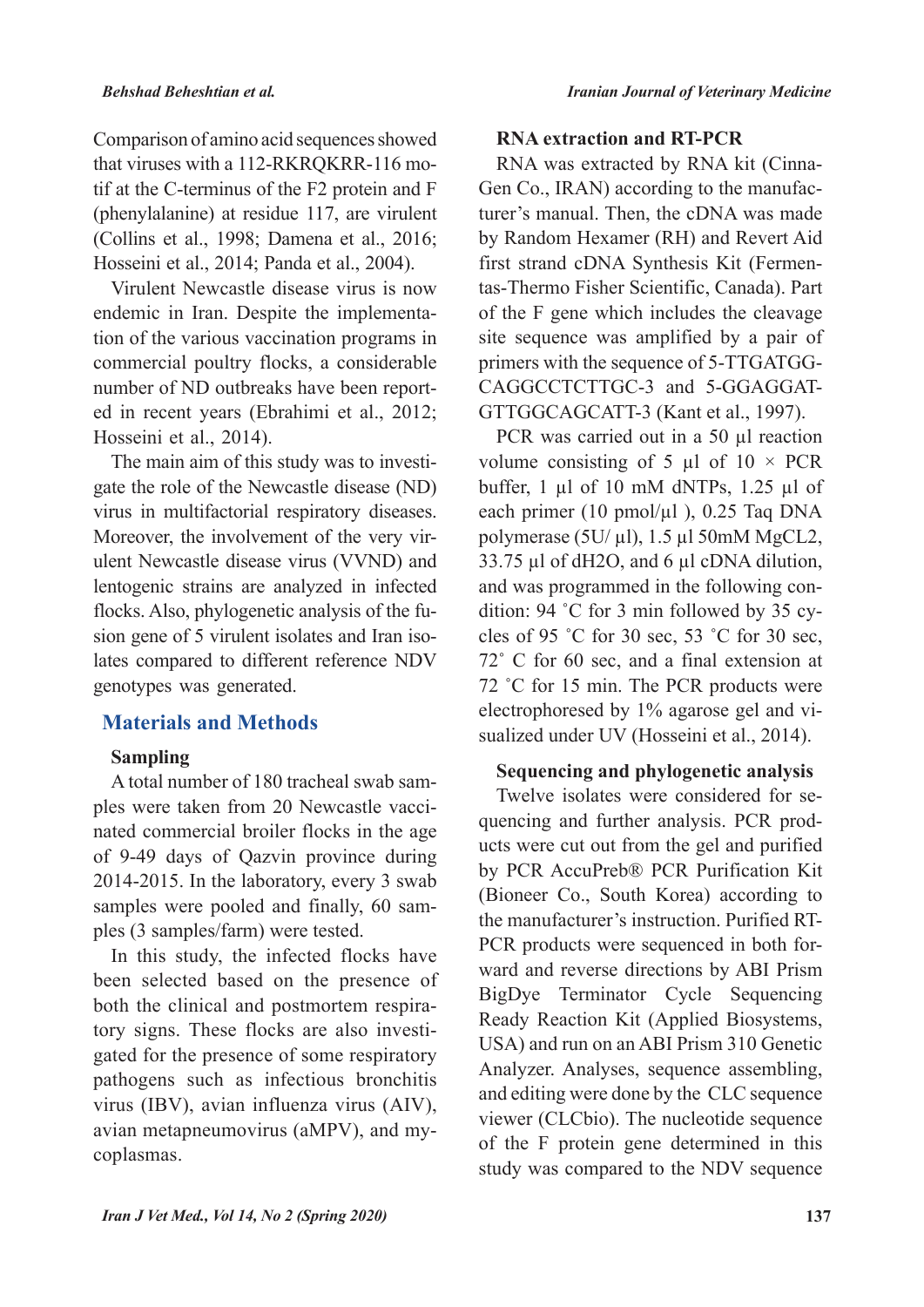Comparison of amino acid sequences showed that viruses with a 112-RKRQKRR-116 motif at the C-terminus of the F2 protein and F (phenylalanine) at residue 117, are virulent (Collins et al., 1998; Damena et al., 2016; Hosseini et al., 2014; Panda et al., 2004).

Virulent Newcastle disease virus is now endemic in Iran. Despite the implementation of the various vaccination programs in commercial poultry flocks, a considerable number of ND outbreaks have been reported in recent years (Ebrahimi et al., 2012; Hosseini et al., 2014).

The main aim of this study was to investigate the role of the Newcastle disease (ND) virus in multifactorial respiratory diseases. Moreover, the involvement of the very virulent Newcastle disease virus (VVND) and lentogenic strains are analyzed in infected flocks. Also, phylogenetic analysis of the fusion gene of 5 virulent isolates and Iran isolates compared to different reference NDV genotypes was generated.

### **Materials and Methods**

### **Sampling**

A total number of 180 tracheal swab samples were taken from 20 Newcastle vaccinated commercial broiler flocks in the age of 9-49 days of Qazvin province during 2014-2015. In the laboratory, every 3 swab samples were pooled and finally, 60 samples (3 samples/farm) were tested.

In this study, the infected flocks have been selected based on the presence of both the clinical and postmortem respiratory signs. These flocks are also investigated for the presence of some respiratory pathogens such as infectious bronchitis virus (IBV), avian influenza virus (AIV), avian metapneumovirus (aMPV), and mycoplasmas.

### **RNA extraction and RT-PCR**

RNA was extracted by RNA kit (Cinna-Gen Co., IRAN) according to the manufacturer's manual. Then, the cDNA was made by Random Hexamer (RH) and Revert Aid first strand cDNA Synthesis Kit (Fermentas-Thermo Fisher Scientific, Canada). Part of the F gene which includes the cleavage site sequence was amplified by a pair of primers with the sequence of 5-TTGATGG-CAGGCCTCTTGC-3 and 5-GGAGGAT-GTTGGCAGCATT-3 (Kant et al., 1997).

PCR was carried out in a 50 µl reaction volume consisting of 5  $\mu$ l of 10 × PCR buffer,  $1 \mu l$  of  $10 \mu M$  dNTPs,  $1.25 \mu l$  of each primer (10 pmol/ $\mu$ l), 0.25 Taq DNA polymerase (5U/ $\mu$ l), 1.5  $\mu$ 1 50mM MgCL2, 33.75 µl of dH2O, and 6 µl cDNA dilution, and was programmed in the following condition: 94 ˚C for 3 min followed by 35 cycles of 95 ˚C for 30 sec, 53 ˚C for 30 sec, 72˚ C for 60 sec, and a final extension at 72 ˚C for 15 min. The PCR products were electrophoresed by 1% agarose gel and visualized under UV (Hosseini et al., 2014).

### **Sequencing and phylogenetic analysis**

Twelve isolates were considered for sequencing and further analysis. PCR products were cut out from the gel and purified by PCR AccuPreb® PCR Purification Kit (Bioneer Co., South Korea) according to the manufacturer's instruction. Purified RT-PCR products were sequenced in both forward and reverse directions by ABI Prism BigDye Terminator Cycle Sequencing Ready Reaction Kit (Applied Biosystems, USA) and run on an ABI Prism 310 Genetic Analyzer. Analyses, sequence assembling, and editing were done by the CLC sequence viewer (CLCbio). The nucleotide sequence of the F protein gene determined in this study was compared to the NDV sequence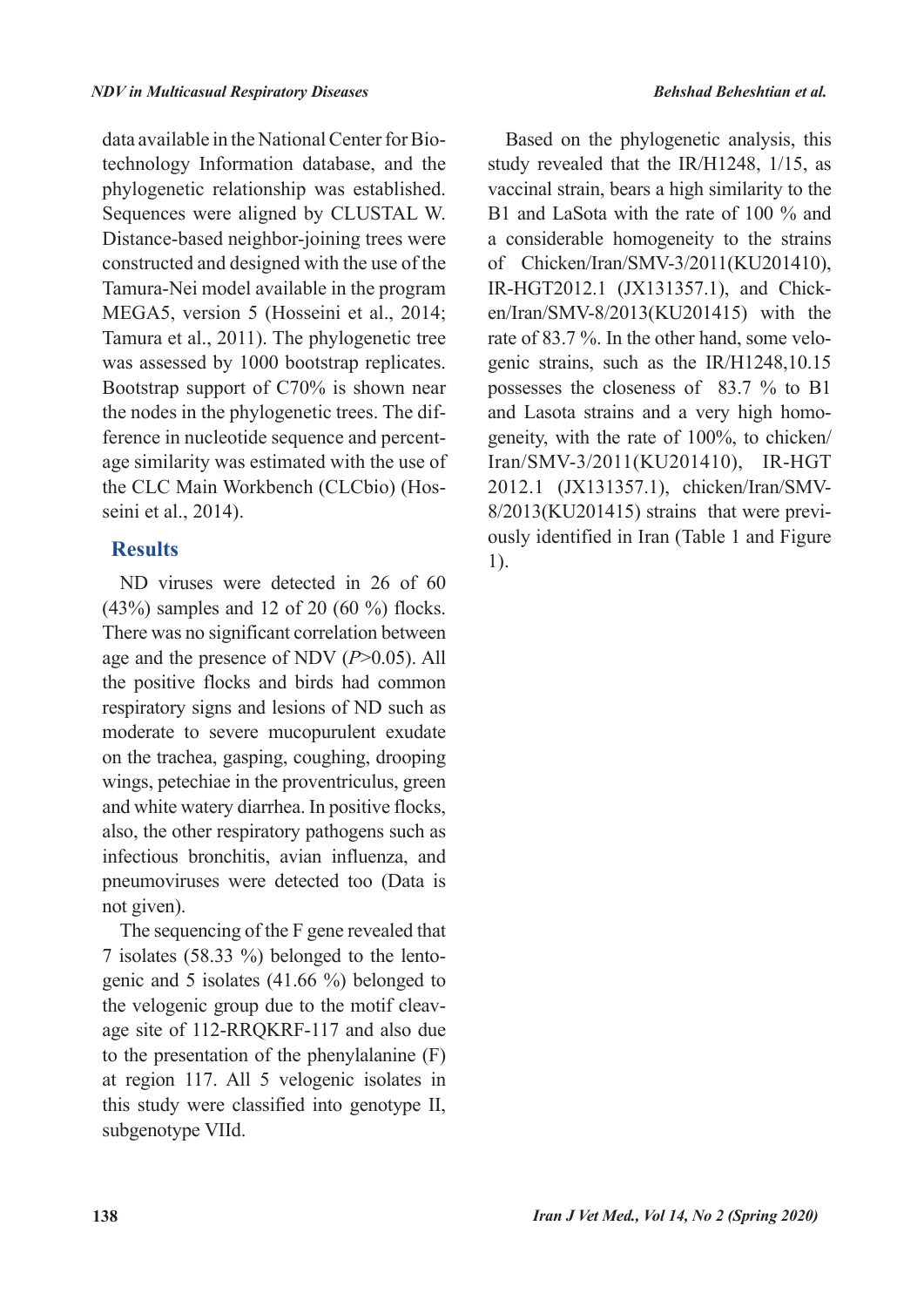data available in the National Center for Biotechnology Information database, and the phylogenetic relationship was established. Sequences were aligned by CLUSTAL W. Distance-based neighbor-joining trees were constructed and designed with the use of the Tamura-Nei model available in the program MEGA5, version 5 (Hosseini et al., 2014; Tamura et al., 2011). The phylogenetic tree was assessed by 1000 bootstrap replicates. Bootstrap support of C70% is shown near the nodes in the phylogenetic trees. The difference in nucleotide sequence and percentage similarity was estimated with the use of the CLC Main Workbench (CLCbio) (Hosseini et al., 2014).

# **Results**

ND viruses were detected in 26 of 60 (43%) samples and 12 of 20 (60 %) flocks. There was no significant correlation between age and the presence of NDV (*P*>0.05). All the positive flocks and birds had common respiratory signs and lesions of ND such as moderate to severe mucopurulent exudate on the trachea, gasping, coughing, drooping wings, petechiae in the proventriculus, green and white watery diarrhea. In positive flocks, also, the other respiratory pathogens such as infectious bronchitis, avian influenza, and pneumoviruses were detected too (Data is not given).

The sequencing of the F gene revealed that 7 isolates (58.33 %) belonged to the lentogenic and 5 isolates (41.66 %) belonged to the velogenic group due to the motif cleavage site of 112-RRQKRF-117 and also due to the presentation of the phenylalanine (F) at region 117. All 5 velogenic isolates in this study were classified into genotype II, subgenotype VIId.

Based on the phylogenetic analysis, this study revealed that the IR/H1248, 1/15, as vaccinal strain, bears a high similarity to the B1 and LaSota with the rate of 100 % and a considerable homogeneity to the strains of Chicken/Iran/SMV-3/2011(KU201410), IR-HGT2012.1 (JX131357.1), and Chicken/Iran/SMV-8/2013(KU201415) with the rate of 83.7 %. In the other hand, some velogenic strains, such as the IR/H1248,10.15 possesses the closeness of 83.7 % to B1 and Lasota strains and a very high homogeneity, with the rate of 100%, to chicken/ Iran/SMV-3/2011(KU201410), IR-HGT 2012.1 (JX131357.1), chicken/Iran/SMV-8/2013(KU201415) strains that were previously identified in Iran (Table 1 and Figure 1).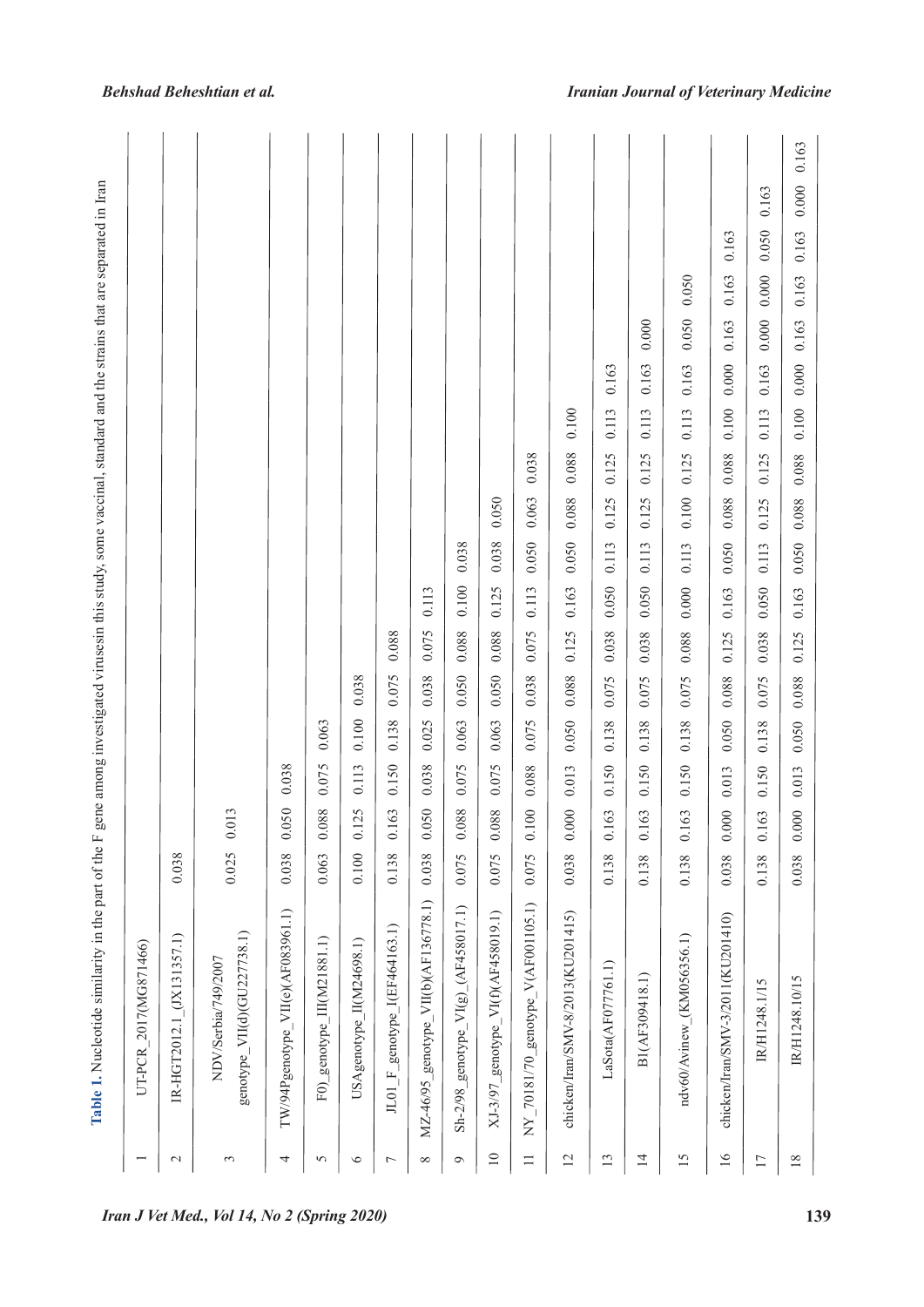*Behshad Beheshtian et al.*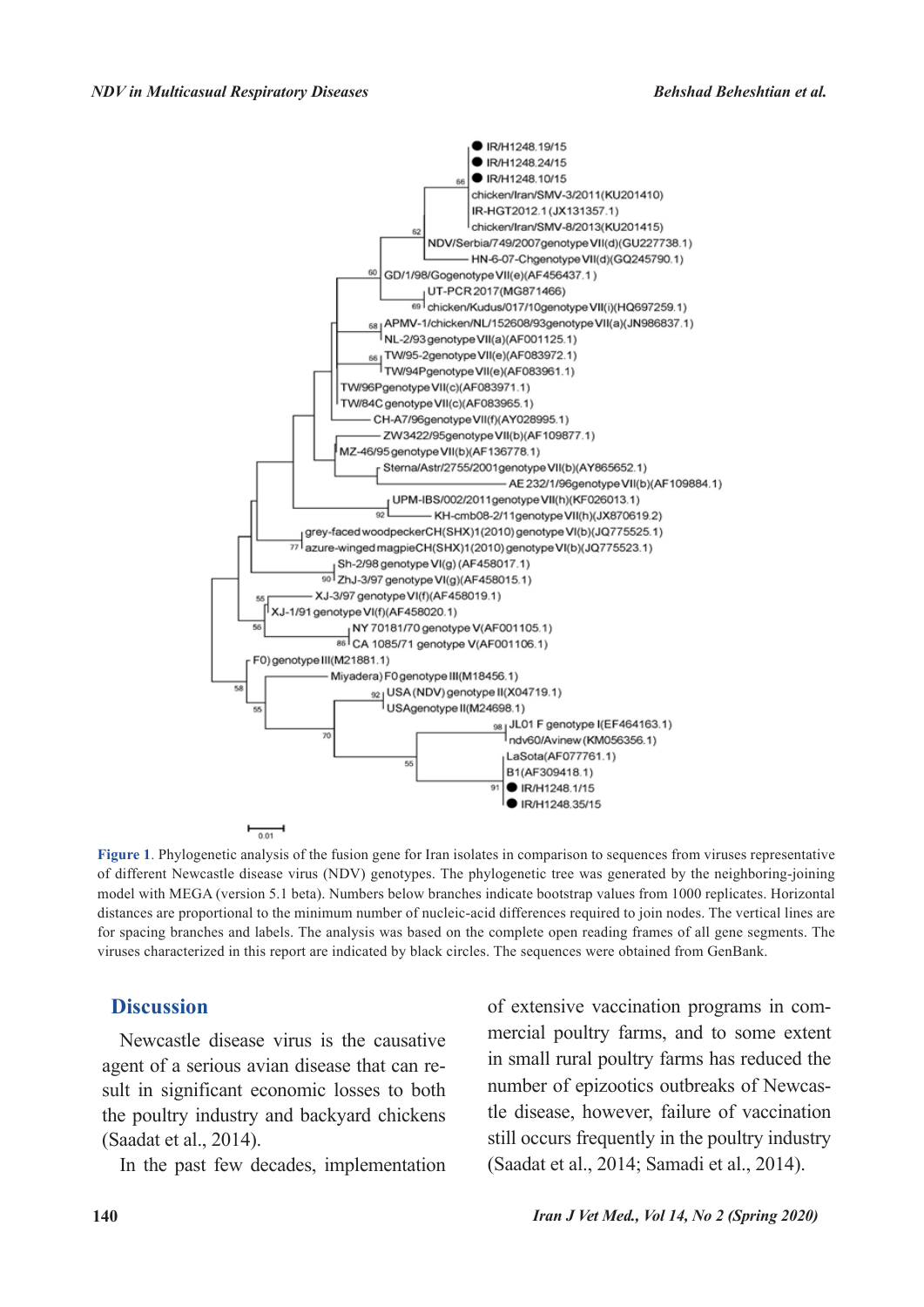

**Figure 1**. Phylogenetic analysis of the fusion gene for Iran isolates in comparison to sequences from viruses representative of different Newcastle disease virus (NDV) genotypes. The phylogenetic tree was generated by the neighboring-joining model with MEGA (version 5.1 beta). Numbers below branches indicate bootstrap values from 1000 replicates. Horizontal distances are proportional to the minimum number of nucleic-acid differences required to join nodes. The vertical lines are for spacing branches and labels. The analysis was based on the complete open reading frames of all gene segments. The viruses characterized in this report are indicated by black circles. The sequences were obtained from GenBank.

### **Discussion**

Newcastle disease virus is the causative agent of a serious avian disease that can result in significant economic losses to both the poultry industry and backyard chickens (Saadat et al., 2014).

In the past few decades, implementation

of extensive vaccination programs in commercial poultry farms, and to some extent in small rural poultry farms has reduced the number of epizootics outbreaks of Newcastle disease, however, failure of vaccination still occurs frequently in the poultry industry (Saadat et al., 2014; Samadi et al., 2014).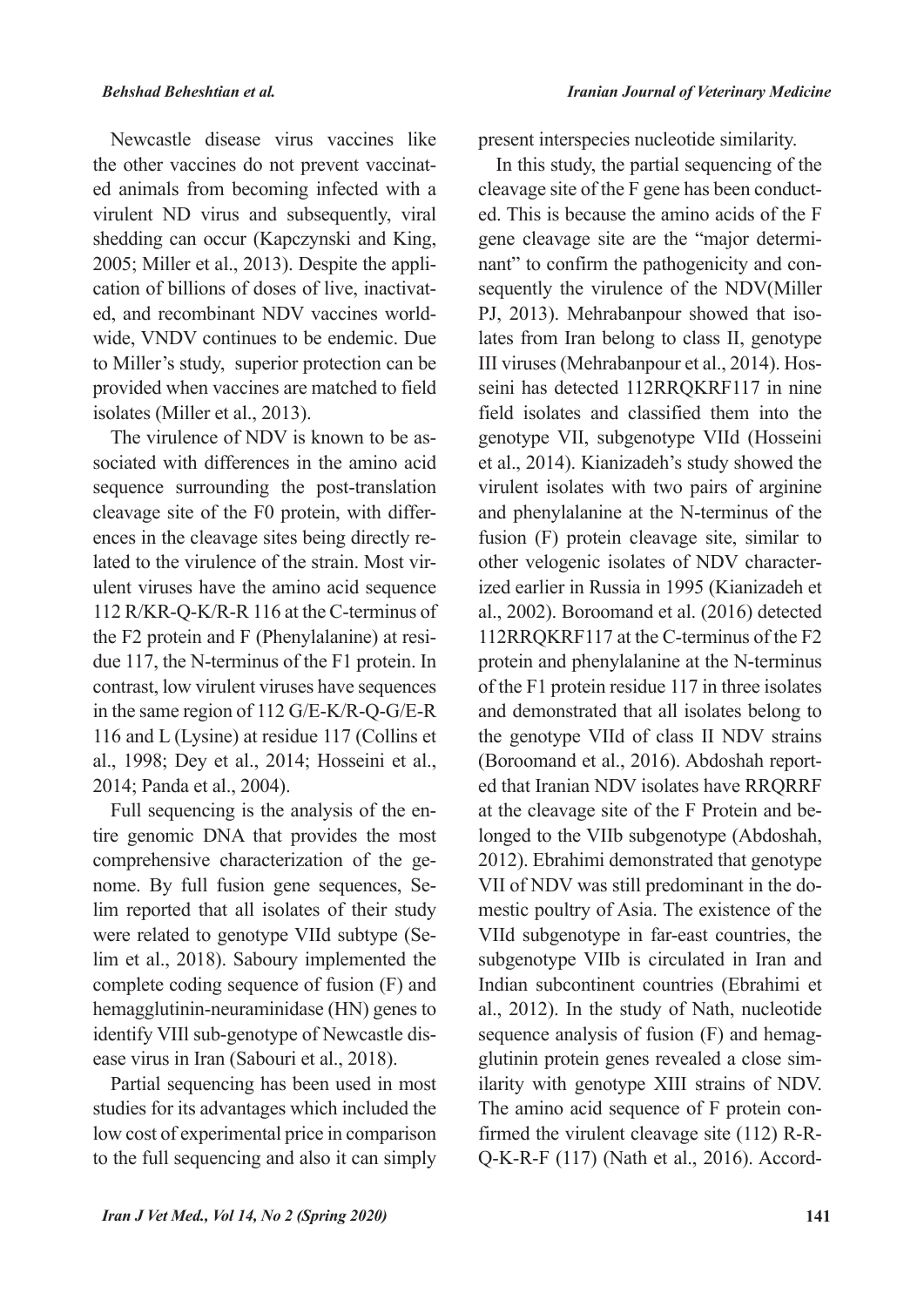Newcastle disease virus vaccines like the other vaccines do not prevent vaccinated animals from becoming infected with a virulent ND virus and subsequently, viral shedding can occur (Kapczynski and King, 2005; Miller et al., 2013). Despite the application of billions of doses of live, inactivated, and recombinant NDV vaccines worldwide, VNDV continues to be endemic. Due to Miller's study, superior protection can be provided when vaccines are matched to field isolates (Miller et al., 2013).

The virulence of NDV is known to be associated with differences in the amino acid sequence surrounding the post-translation cleavage site of the F0 protein, with differences in the cleavage sites being directly related to the virulence of the strain. Most virulent viruses have the amino acid sequence 112 R/KR-Q-K/R-R 116 at the C-terminus of the F2 protein and F (Phenylalanine) at residue 117, the N-terminus of the F1 protein. In contrast, low virulent viruses have sequences in the same region of 112 G/E-K/R-Q-G/E-R 116 and L (Lysine) at residue 117 (Collins et al., 1998; Dey et al., 2014; Hosseini et al., 2014; Panda et al., 2004).

Full sequencing is the analysis of the entire genomic DNA that provides the most comprehensive characterization of the genome. By full fusion gene sequences, Selim reported that all isolates of their study were related to genotype VIId subtype (Selim et al., 2018). Saboury implemented the complete coding sequence of fusion (F) and hemagglutinin-neuraminidase (HN) genes to identify VIIl sub-genotype of Newcastle disease virus in Iran (Sabouri et al., 2018).

Partial sequencing has been used in most studies for its advantages which included the low cost of experimental price in comparison to the full sequencing and also it can simply present interspecies nucleotide similarity.

In this study, the partial sequencing of the cleavage site of the F gene has been conducted. This is because the amino acids of the F gene cleavage site are the "major determinant" to confirm the pathogenicity and consequently the virulence of the NDV(Miller PJ, 2013). Mehrabanpour showed that isolates from Iran belong to class II, genotype III viruses (Mehrabanpour et al., 2014). Hosseini has detected 112RRQKRF117 in nine field isolates and classified them into the genotype VII, subgenotype VIId (Hosseini et al., 2014). Kianizadeh's study showed the virulent isolates with two pairs of arginine and phenylalanine at the N-terminus of the fusion (F) protein cleavage site, similar to other velogenic isolates of NDV characterized earlier in Russia in 1995 (Kianizadeh et al., 2002). Boroomand et al. (2016) detected 112RRQKRF117 at the C-terminus of the F2 protein and phenylalanine at the N-terminus of the F1 protein residue 117 in three isolates and demonstrated that all isolates belong to the genotype VIId of class II NDV strains (Boroomand et al., 2016). Abdoshah reported that Iranian NDV isolates have RRQRRF at the cleavage site of the F Protein and belonged to the VIIb subgenotype (Abdoshah, 2012). Ebrahimi demonstrated that genotype VII of NDV was still predominant in the domestic poultry of Asia. The existence of the VIId subgenotype in far-east countries, the subgenotype VIIb is circulated in Iran and Indian subcontinent countries (Ebrahimi et al., 2012). In the study of Nath, nucleotide sequence analysis of fusion (F) and hemagglutinin protein genes revealed a close similarity with genotype XIII strains of NDV. The amino acid sequence of F protein confirmed the virulent cleavage site (112) R-R-Q-K-R-F (117) (Nath et al., 2016). Accord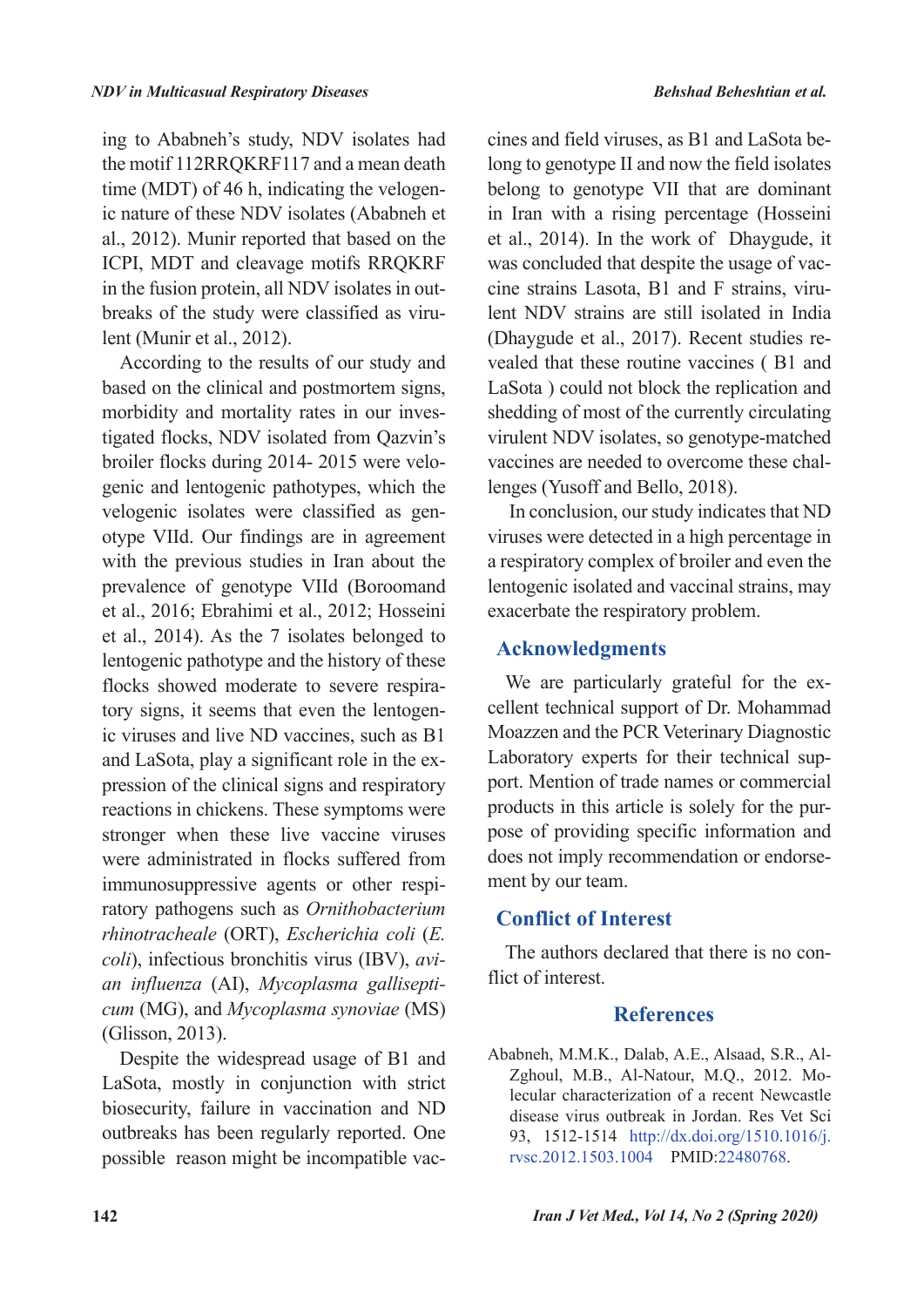ing to Ababneh's study, NDV isolates had the motif 112RRQKRF117 and a mean death time (MDT) of 46 h, indicating the velogenic nature of these NDV isolates (Ababneh et al., 2012). Munir reported that based on the ICPI, MDT and cleavage motifs RRQKRF in the fusion protein, all NDV isolates in outbreaks of the study were classified as virulent (Munir et al., 2012).

According to the results of our study and based on the clinical and postmortem signs, morbidity and mortality rates in our investigated flocks, NDV isolated from Qazvin's broiler flocks during 2014- 2015 were velogenic and lentogenic pathotypes, which the velogenic isolates were classified as genotype VIId. Our findings are in agreement with the previous studies in Iran about the prevalence of genotype VIId (Boroomand et al., 2016; Ebrahimi et al., 2012; Hosseini et al., 2014). As the 7 isolates belonged to lentogenic pathotype and the history of these flocks showed moderate to severe respiratory signs, it seems that even the lentogenic viruses and live ND vaccines, such as B1 and LaSota, play a significant role in the expression of the clinical signs and respiratory reactions in chickens. These symptoms were stronger when these live vaccine viruses were administrated in flocks suffered from immunosuppressive agents or other respiratory pathogens such as *Ornithobacterium rhinotracheale* (ORT), *Escherichia coli* (*E. coli*), infectious bronchitis virus (IBV), *avian influenza* (AI), *Mycoplasma gallisepticum* (MG), and *Mycoplasma synoviae* (MS) (Glisson, 2013).

Despite the widespread usage of B1 and LaSota, mostly in conjunction with strict biosecurity, failure in vaccination and ND outbreaks has been regularly reported. One possible reason might be incompatible vaccines and field viruses, as B1 and LaSota belong to genotype II and now the field isolates belong to genotype VII that are dominant in Iran with a rising percentage (Hosseini et al., 2014). In the work of Dhaygude, it was concluded that despite the usage of vaccine strains Lasota, B1 and F strains, virulent NDV strains are still isolated in India (Dhaygude et al., 2017). Recent studies revealed that these routine vaccines ( B1 and LaSota ) could not block the replication and shedding of most of the currently circulating virulent NDV isolates, so genotype-matched vaccines are needed to overcome these challenges (Yusoff and Bello, 2018).

 In conclusion, our study indicates that ND viruses were detected in a high percentage in a respiratory complex of broiler and even the lentogenic isolated and vaccinal strains, may exacerbate the respiratory problem.

### **Acknowledgments**

We are particularly grateful for the excellent technical support of Dr. Mohammad Moazzen and the PCR Veterinary Diagnostic Laboratory experts for their technical support. Mention of trade names or commercial products in this article is solely for the purpose of providing specific information and does not imply recommendation or endorsement by our team.

## **Conflict of Interest**

The authors declared that there is no conflict of interest.

## **References**

Ababneh, M.M.K., Dalab, A.E., Alsaad, S.R., Al-Zghoul, M.B., Al-Natour, M.Q., 2012. Molecular characterization of a recent Newcastle disease virus outbreak in Jordan. Res Vet Sci 93, 1512-1514 http://dx.doi.org/1510.1016/j. rvsc.2012.1503.1004 PMID:22480768.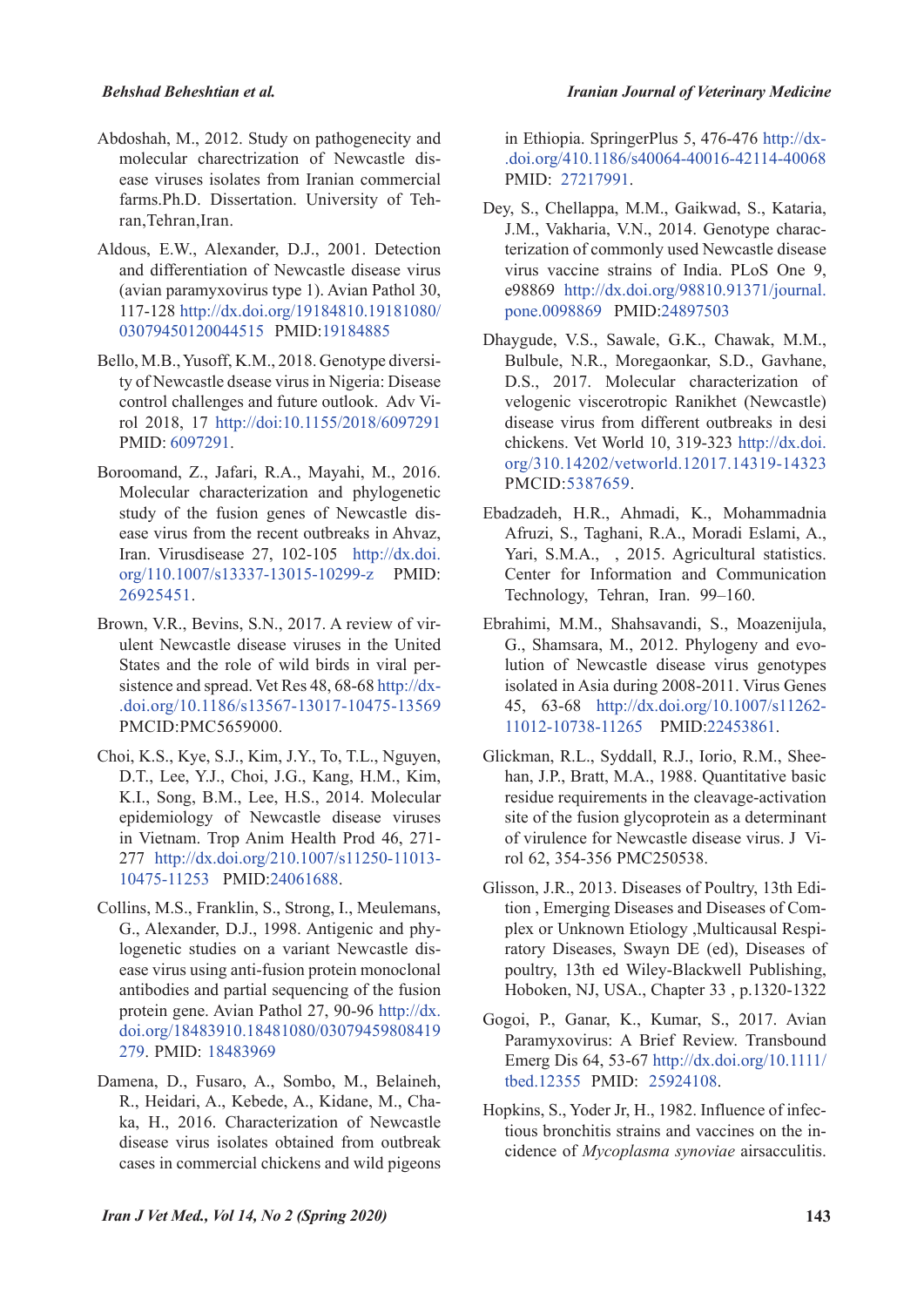- Abdoshah, M., 2012. Study on pathogenecity and molecular charectrization of Newcastle disease viruses isolates from Iranian commercial farms.Ph.D. Dissertation. University of Tehran, Tehran, Iran.
- Aldous, E.W., Alexander, D.J., 2001. Detection and differentiation of Newcastle disease virus (avian paramyxovirus type 1). Avian Pathol 30, 117-128 http://dx.doi.org/19184810.19181080/ 03079450120044515 PMID:19184885
- Bello, M.B., Yusoff, K.M., 2018. Genotype diversity of Newcastle dsease virus in Nigeria: Disease control challenges and future outlook. Adv Virol 2018, 17 http://doi:10.1155/2018/6097291 PMID: 6097291.
- Boroomand, Z., Jafari, R.A., Mayahi, M., 2016. Molecular characterization and phylogenetic study of the fusion genes of Newcastle disease virus from the recent outbreaks in Ahvaz, Iran. Virusdisease 27, 102-105 http://dx.doi. org/110.1007/s13337-13015-10299-z PMID: 26925451.
- Brown, V.R., Bevins, S.N., 2017. A review of virulent Newcastle disease viruses in the United States and the role of wild birds in viral persistence and spread. Vet Res 48, 68-68 http://dx- .doi.org/10.1186/s13567-13017-10475-13569 PMCID:PMC5659000.
- Choi, K.S., Kye, S.J., Kim, J.Y., To, T.L., Nguyen, D.T., Lee, Y.J., Choi, J.G., Kang, H.M., Kim, K.I., Song, B.M., Lee, H.S., 2014. Molecular epidemiology of Newcastle disease viruses in Vietnam. Trop Anim Health Prod 46, 271- 277 http://dx.doi.org/210.1007/s11250-11013- 10475-11253 PMID:24061688.
- Collins, M.S., Franklin, S., Strong, I., Meulemans, G., Alexander, D.J., 1998. Antigenic and phylogenetic studies on a variant Newcastle disease virus using anti-fusion protein monoclonal antibodies and partial sequencing of the fusion protein gene. Avian Pathol 27, 90-96 http://dx. doi.org/18483910.18481080/03079459808419 279. PMID: 18483969
- Damena, D., Fusaro, A., Sombo, M., Belaineh, R., Heidari, A., Kebede, A., Kidane, M., Chaka, H., 2016. Characterization of Newcastle disease virus isolates obtained from outbreak cases in commercial chickens and wild pigeons

in Ethiopia. SpringerPlus 5, 476-476 http://dx- .doi.org/410.1186/s40064-40016-42114-40068 PMID: 27217991.

- Dey, S., Chellappa, M.M., Gaikwad, S., Kataria, J.M., Vakharia, V.N., 2014. Genotype characterization of commonly used Newcastle disease virus vaccine strains of India. PLoS One 9, e98869 http://dx.doi.org/98810.91371/journal. pone.0098869 PMID:24897503
- Dhaygude, V.S., Sawale, G.K., Chawak, M.M., Bulbule, N.R., Moregaonkar, S.D., Gavhane, D.S., 2017. Molecular characterization of velogenic viscerotropic Ranikhet (Newcastle) disease virus from different outbreaks in desi chickens. Vet World 10, 319-323 http://dx.doi. org/310.14202/vetworld.12017.14319-14323 PMCID:5387659.
- Ebadzadeh, H.R., Ahmadi, K., Mohammadnia Afruzi, S., Taghani, R.A., Moradi Eslami, A., Yari, S.M.A., , 2015. Agricultural statistics. Center for Information and Communication Technology, Tehran, Iran. 99–160.
- Ebrahimi, M.M., Shahsavandi, S., Moazenijula, G., Shamsara, M., 2012. Phylogeny and evolution of Newcastle disease virus genotypes isolated in Asia during 2008-2011. Virus Genes 45, 63-68 http://dx.doi.org/10.1007/s11262- 11012-10738-11265 PMID:22453861.
- Glickman, R.L., Syddall, R.J., Iorio, R.M., Sheehan, J.P., Bratt, M.A., 1988. Quantitative basic residue requirements in the cleavage-activation site of the fusion glycoprotein as a determinant of virulence for Newcastle disease virus. J Virol 62, 354-356 PMC250538.
- Glisson, J.R., 2013. Diseases of Poultry, 13th Edition , Emerging Diseases and Diseases of Complex or Unknown Etiology ,Multicausal Respiratory Diseases, Swayn DE (ed), Diseases of poultry, 13th ed Wiley-Blackwell Publishing, Hoboken, NJ, USA., Chapter 33 , p.1320-1322
- Gogoi, P., Ganar, K., Kumar, S., 2017. Avian Paramyxovirus: A Brief Review. Transbound Emerg Dis 64, 53-67 http://dx.doi.org/10.1111/ tbed.12355 PMID: 25924108.
- Hopkins, S., Yoder Jr, H., 1982. Influence of infectious bronchitis strains and vaccines on the incidence of *Mycoplasma synoviae* airsacculitis.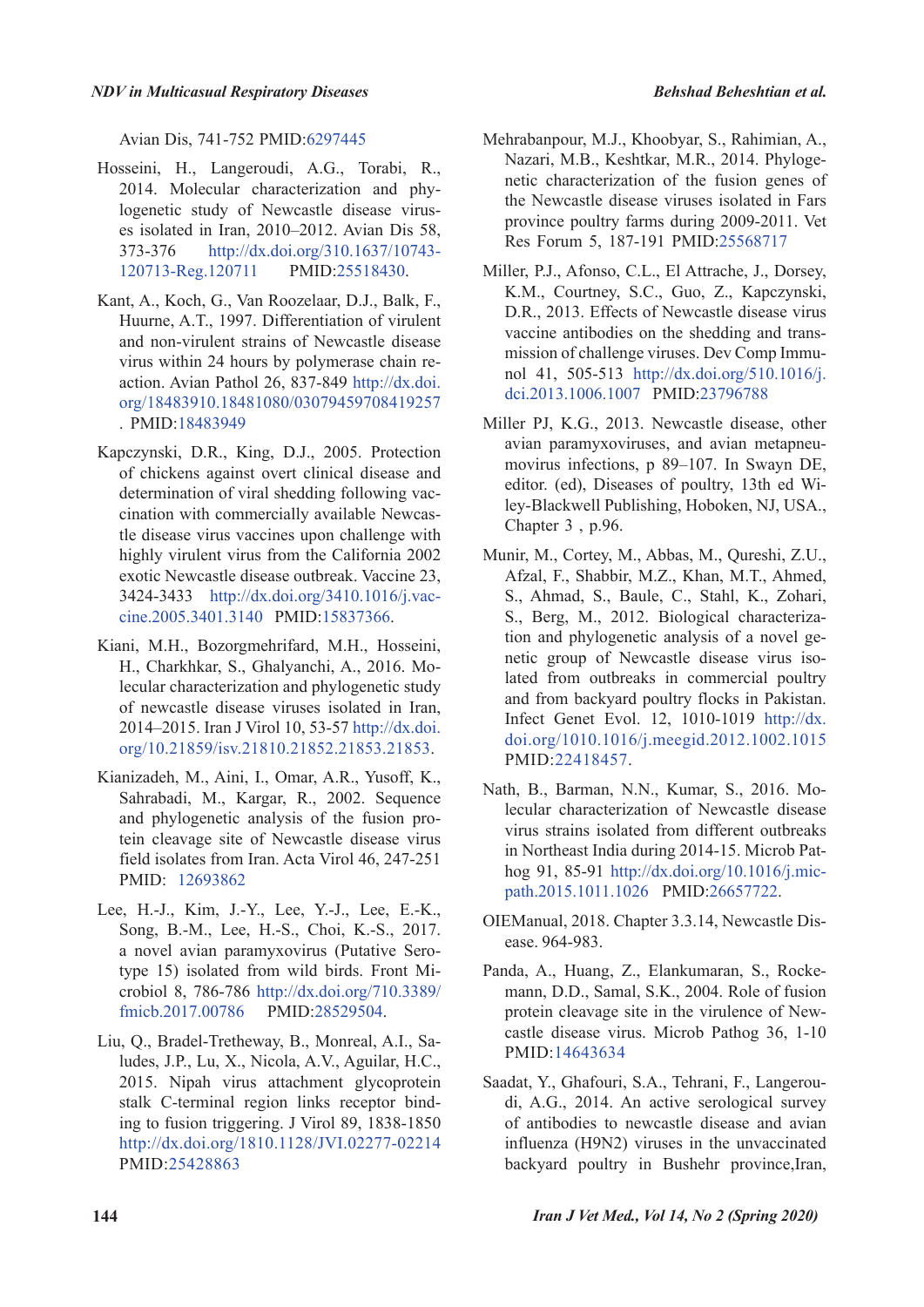Avian Dis, 741-752 PMID:6297445

- Hosseini, H., Langeroudi, A.G., Torabi, R., 2014. Molecular characterization and phylogenetic study of Newcastle disease viruses isolated in Iran, 2010–2012. Avian Dis 58, 373-376 http://dx.doi.org/310.1637/10743- 120713-Reg.120711 PMID:25518430.
- Kant, A., Koch, G., Van Roozelaar, D.J., Balk, F., Huurne, A.T., 1997. Differentiation of virulent and non-virulent strains of Newcastle disease virus within 24 hours by polymerase chain reaction. Avian Pathol 26, 837-849 http://dx.doi. org/18483910.18481080/03079459708419257 . PMID:18483949
- Kapczynski, D.R., King, D.J., 2005. Protection of chickens against overt clinical disease and determination of viral shedding following vaccination with commercially available Newcastle disease virus vaccines upon challenge with highly virulent virus from the California 2002 exotic Newcastle disease outbreak. Vaccine 23, 3424-3433 http://dx.doi.org/3410.1016/j.vaccine.2005.3401.3140 PMID:15837366.
- Kiani, M.H., Bozorgmehrifard, M.H., Hosseini, H., Charkhkar, S., Ghalyanchi, A., 2016. Molecular characterization and phylogenetic study of newcastle disease viruses isolated in Iran, 2014–2015. Iran J Virol 10, 53-57 http://dx.doi. org/10.21859/isv.21810.21852.21853.21853.
- Kianizadeh, M., Aini, I., Omar, A.R., Yusoff, K., Sahrabadi, M., Kargar, R., 2002. Sequence and phylogenetic analysis of the fusion protein cleavage site of Newcastle disease virus field isolates from Iran. Acta Virol 46, 247-251 PMID: 12693862
- Lee, H.-J., Kim, J.-Y., Lee, Y.-J., Lee, E.-K., Song, B.-M., Lee, H.-S., Choi, K.-S., 2017. a novel avian paramyxovirus (Putative Serotype 15) isolated from wild birds. Front Microbiol 8, 786-786 http://dx.doi.org/710.3389/ fmicb.2017.00786 PMID:28529504.
- Liu, Q., Bradel-Tretheway, B., Monreal, A.I., Saludes, J.P., Lu, X., Nicola, A.V., Aguilar, H.C., 2015. Nipah virus attachment glycoprotein stalk C-terminal region links receptor binding to fusion triggering. J Virol 89, 1838-1850 http://dx.doi.org/1810.1128/JVI.02277-02214 PMID:25428863
- Mehrabanpour, M.J., Khoobyar, S., Rahimian, A., Nazari, M.B., Keshtkar, M.R., 2014. Phylogenetic characterization of the fusion genes of the Newcastle disease viruses isolated in Fars province poultry farms during 2009-2011. Vet Res Forum 5, 187-191 PMID:25568717
- Miller, P.J., Afonso, C.L., El Attrache, J., Dorsey, K.M., Courtney, S.C., Guo, Z., Kapczynski, D.R., 2013. Effects of Newcastle disease virus vaccine antibodies on the shedding and transmission of challenge viruses. Dev Comp Immunol 41, 505-513 http://dx.doi.org/510.1016/j. dci.2013.1006.1007 PMID:23796788
- Miller PJ, K.G., 2013. Newcastle disease, other avian paramyxoviruses, and avian metapneumovirus infections, p 89–107. In Swayn DE, editor. (ed), Diseases of poultry, 13th ed Wiley-Blackwell Publishing, Hoboken, NJ, USA., Chapter 3 , p.96.
- Munir, M., Cortey, M., Abbas, M., Qureshi, Z.U., Afzal, F., Shabbir, M.Z., Khan, M.T., Ahmed, S., Ahmad, S., Baule, C., Stahl, K., Zohari, S., Berg, M., 2012. Biological characterization and phylogenetic analysis of a novel genetic group of Newcastle disease virus isolated from outbreaks in commercial poultry and from backyard poultry flocks in Pakistan. Infect Genet Evol. 12, 1010-1019 http://dx. doi.org/1010.1016/j.meegid.2012.1002.1015 PMID:22418457.
- Nath, B., Barman, N.N., Kumar, S., 2016. Molecular characterization of Newcastle disease virus strains isolated from different outbreaks in Northeast India during 2014-15. Microb Pathog 91, 85-91 http://dx.doi.org/10.1016/j.micpath.2015.1011.1026 PMID:26657722.
- OIEManual, 2018. Chapter 3.3.14, Newcastle Disease. 964-983.
- Panda, A., Huang, Z., Elankumaran, S., Rockemann, D.D., Samal, S.K., 2004. Role of fusion protein cleavage site in the virulence of Newcastle disease virus. Microb Pathog 36, 1-10 PMID:14643634
- Saadat, Y., Ghafouri, S.A., Tehrani, F., Langeroudi, A.G., 2014. An active serological survey of antibodies to newcastle disease and avian influenza (H9N2) viruses in the unvaccinated backyard poultry in Bushehr province,Iran,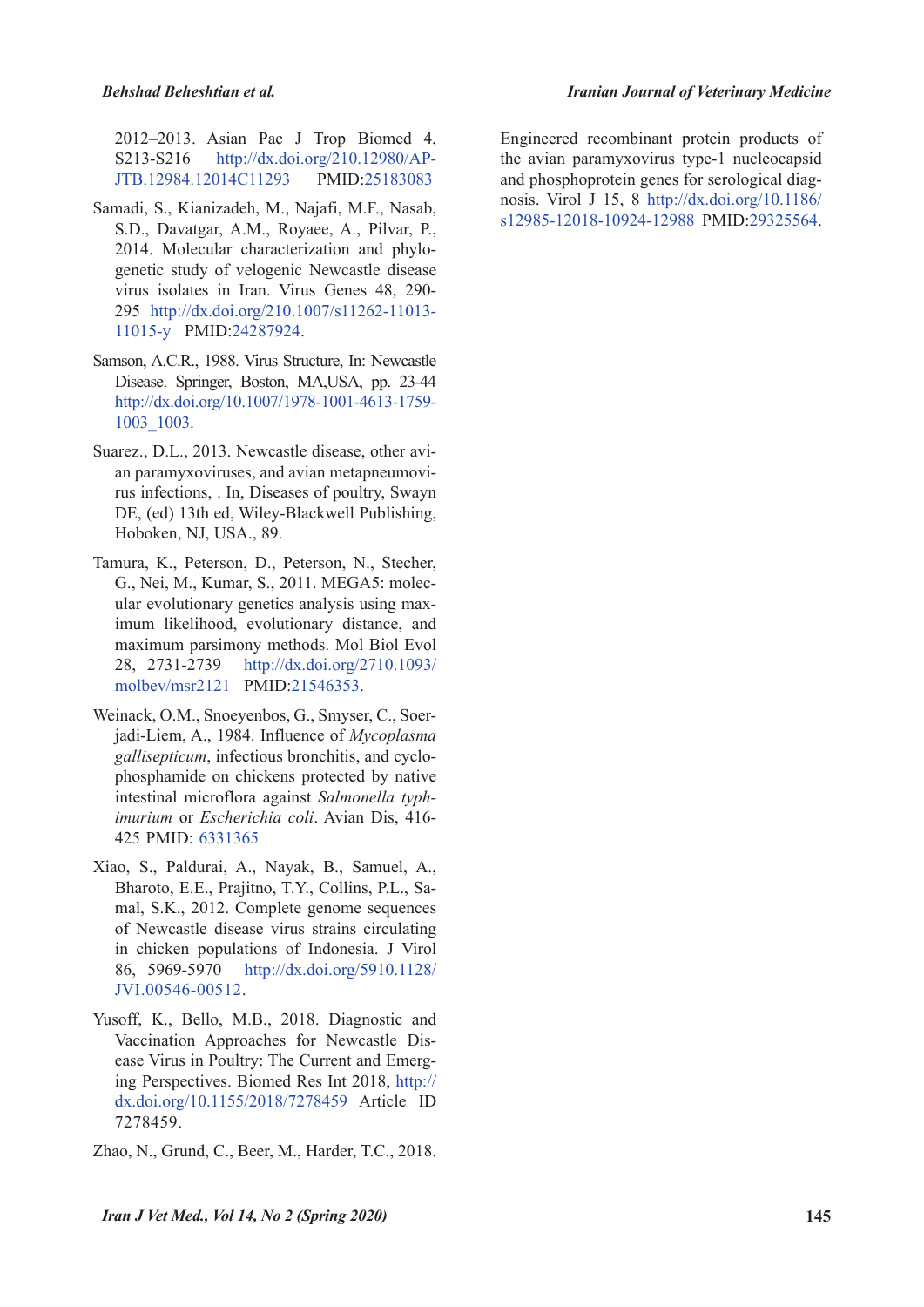2012–2013. Asian Pac J Trop Biomed 4, S213-S216 http://dx.doi.org/210.12980/AP-JTB.12984.12014C11293 PMID:25183083

- Samadi, S., Kianizadeh, M., Najafi, M.F., Nasab, S.D., Davatgar, A.M., Royaee, A., Pilvar, P., 2014. Molecular characterization and phylogenetic study of velogenic Newcastle disease virus isolates in Iran. Virus Genes 48, 290- 295 http://dx.doi.org/210.1007/s11262-11013- 11015-y PMID:24287924.
- Samson, A.C.R., 1988. Virus Structure, In: Newcastle Disease. Springer, Boston, MA,USA, pp. 23-44 http://dx.doi.org/10.1007/1978-1001-4613-1759- 1003\_1003.
- Suarez., D.L., 2013. Newcastle disease, other avian paramyxoviruses, and avian metapneumovirus infections, . In, Diseases of poultry, Swayn DE, (ed) 13th ed, Wiley-Blackwell Publishing, Hoboken, NJ, USA., 89.
- Tamura, K., Peterson, D., Peterson, N., Stecher, G., Nei, M., Kumar, S., 2011. MEGA5: molecular evolutionary genetics analysis using maximum likelihood, evolutionary distance, and maximum parsimony methods. Mol Biol Evol 28, 2731-2739 http://dx.doi.org/2710.1093/ molbev/msr2121 PMID:21546353.
- Weinack, O.M., Snoeyenbos, G., Smyser, C., Soerjadi-Liem, A., 1984. Influence of *Mycoplasma gallisepticum*, infectious bronchitis, and cyclophosphamide on chickens protected by native intestinal microflora against *Salmonella typhimurium* or *Escherichia coli*. Avian Dis, 416- 425 PMID: 6331365
- Xiao, S., Paldurai, A., Nayak, B., Samuel, A., Bharoto, E.E., Prajitno, T.Y., Collins, P.L., Samal, S.K., 2012. Complete genome sequences of Newcastle disease virus strains circulating in chicken populations of Indonesia. J Virol 86, 5969-5970 http://dx.doi.org/5910.1128/ JVI.00546-00512.
- Yusoff, K., Bello, M.B., 2018. Diagnostic and Vaccination Approaches for Newcastle Disease Virus in Poultry: The Current and Emerging Perspectives. Biomed Res Int 2018, http:// dx.doi.org/10.1155/2018/7278459 Article ID 7278459.
- Zhao, N., Grund, C., Beer, M., Harder, T.C., 2018.

Engineered recombinant protein products of the avian paramyxovirus type-1 nucleocapsid and phosphoprotein genes for serological diagnosis. Virol J 15, 8 http://dx.doi.org/10.1186/ s12985-12018-10924-12988 PMID:29325564.